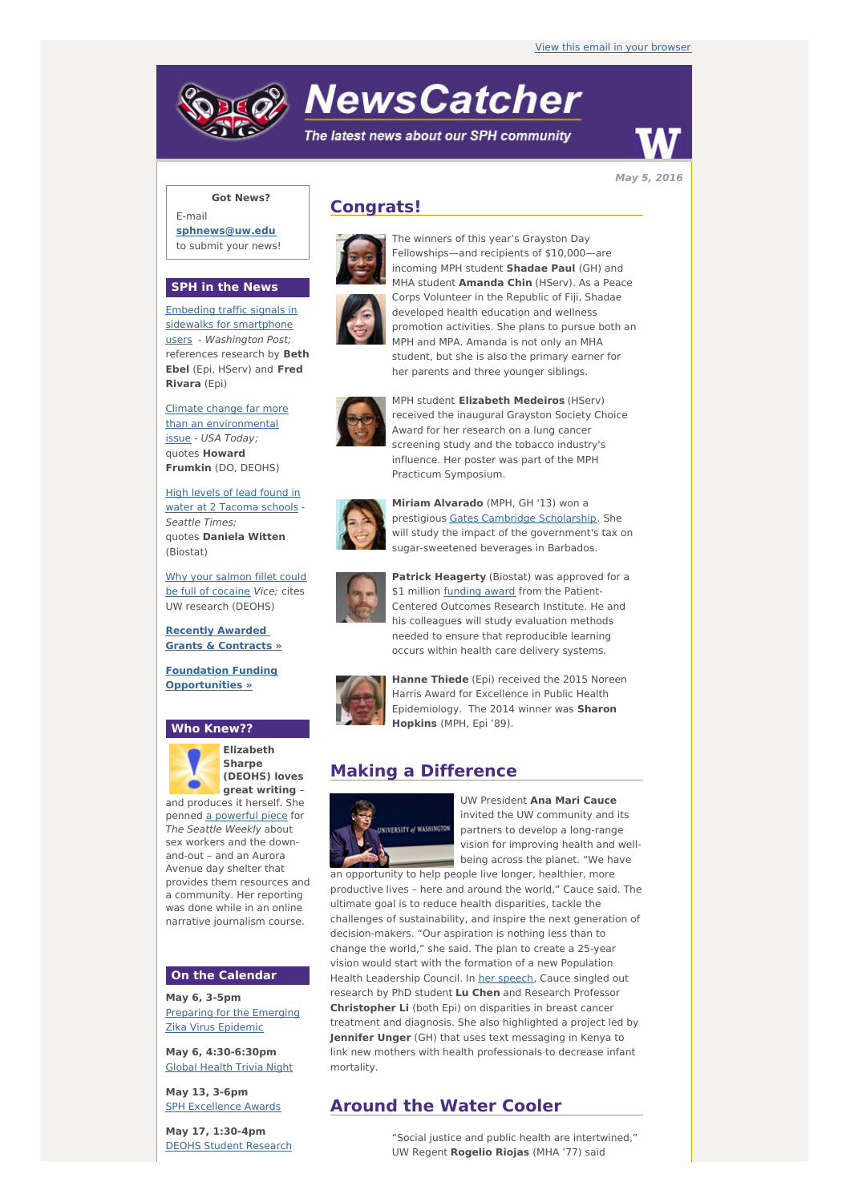# **NewsCatcher**

The latest news about our SPH community



**May 5, 2016**

## **Got News?**

E-mail **[sphnews@uw.edu](mailto:sphnews@uw.edu)** to submit your news!

#### **SPH in the News**

Embeding traffic signals in sidewalks for [smartphone](http://engage.washington.edu/site/R?i=t_kHhSNWMHbSMoP9moIIdg) users - Washington Post; references research by **Beth Ebel** (Epi, HServ) and **Fred Rivara** (Epi)

Climate change far more than an [environmental](http://engage.washington.edu/site/R?i=IXUkCPlZi-577TQn720VYw) issue - USA Today; quotes **Howard Frumkin** (DO, DEOHS)

High levels of lead found in water at 2 [Tacoma](http://engage.washington.edu/site/R?i=yv2N3BVW4uDjOZGb1EnoLg) schools - Seattle Times; quotes **Daniela Witten** (Biostat)

Why your salmon fillet could be full of [cocaine](http://engage.washington.edu/site/R?i=2u4k7JepYBcNT7BFFR7TNg) Vice; cites UW research (DEOHS)

**Recently Awarded Grants & [Contracts](http://engage.washington.edu/site/R?i=pd6_spdZv1_v45CntCHzGQ) »**

**Foundation Funding [Opportunities](http://engage.washington.edu/site/R?i=l9r-Cs6Q2NcbW-kToZsooA) »**

#### **Who Knew??**



**Elizabeth Sharpe (DEOHS) loves great writing** –

and produces it herself. She penned a [powerful](http://engage.washington.edu/site/R?i=Zv8Y9gWI6w5RXiLFBd4Whg) piece for The Seattle Weekly about sex workers and the downand-out – and an Aurora Avenue day shelter that provides them resources and a community. Her reporting was done while in an online narrative journalism course.

#### **On the Calendar**

**May 6, 3-5pm** [Preparing](http://engage.washington.edu/site/R?i=-ltSFTRybvgs5BaWxDG3pw) for the Emerging Zika Virus Epidemic

**May 6, 4:30-6:30pm** Global [Health](http://engage.washington.edu/site/R?i=Wjyh_pcdp2byDQH79ckVNg) Trivia Night

**May 13, 3-6pm** SPH [Excellence](http://engage.washington.edu/site/R?i=qJ5-rkxg9wPLfogpVNV5jw) Awards

**May 17, 1:30-4pm** DEOHS Student [Research](http://engage.washington.edu/site/R?i=bra-NhFfplE06Jblg1e9bA)

## **Congrats!**





Fellowships—and recipients of \$10,000—are incoming MPH student **Shadae Paul** (GH) and MHA student **Amanda Chin** (HServ). As a Peace Corps Volunteer in the Republic of Fiji, Shadae developed health education and wellness promotion activities. She plans to pursue both an MPH and MPA. Amanda is not only an MHA student, but she is also the primary earner for her parents and three younger siblings.

The winners of this year's Grayston Day



MPH student **Elizabeth Medeiros** (HServ) received the inaugural Grayston Society Choice Award for her research on a lung cancer screening study and the tobacco industry's influence. Her poster was part of the MPH Practicum Symposium.



**Miriam Alvarado** (MPH, GH '13) won a prestigious Gates Cambridge [Scholarship](http://engage.washington.edu/site/R?i=ICI5st0kaEyMOQKfoSzKkA). She will study the impact of the government's tax on sugar-sweetened beverages in Barbados.



**Patrick Heagerty** (Biostat) was approved for a \$1 million [funding](http://engage.washington.edu/site/R?i=oFG9jiii_H7u7GrxkU9Amw) award from the Patient-Centered Outcomes Research Institute. He and his colleagues will study evaluation methods needed to ensure that reproducible learning occurs within health care delivery systems.



**Hanne Thiede** (Epi) received the 2015 Noreen Harris Award for Excellence in Public Health Epidemiology. The 2014 winner was **Sharon Hopkins** (MPH, Epi '89).

# **Making a Difference**



UW President **Ana Mari Cauce** invited the UW community and its partners to develop a long-range vision for improving health and wellbeing across the planet. "We have

an opportunity to help people live longer, healthier, more productive lives – here and around the world," Cauce said. The ultimate goal is to reduce health disparities, tackle the challenges of sustainability, and inspire the next generation of decision-makers. "Our aspiration is nothing less than to change the world," she said. The plan to create a 25-year vision would start with the formation of a new Population Health Leadership Council. In her [speech](http://engage.washington.edu/site/R?i=IyBxM6fNoaTkPweGTHZbDQ), Cauce singled out research by PhD student **Lu Chen** and Research Professor **Christopher Li** (both Epi) on disparities in breast cancer treatment and diagnosis. She also highlighted a project led by **Jennifer Unger** (GH) that uses text messaging in Kenya to link new mothers with health professionals to decrease infant mortality.

# **Around the Water Cooler**

"Social justice and public health are intertwined," UW Regent **Rogelio Riojas** (MHA '77) said